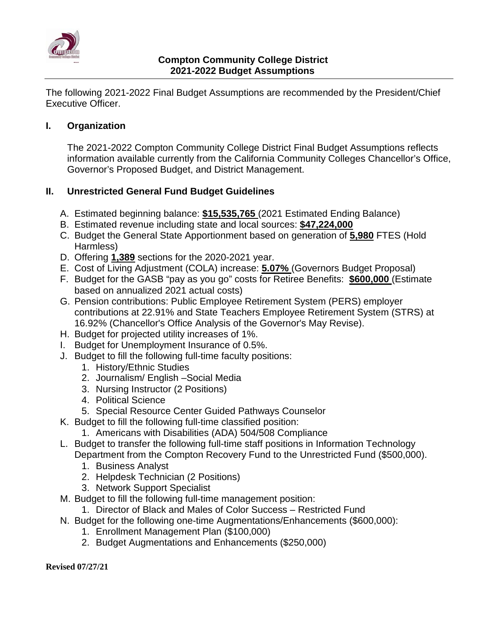

The following 2021-2022 Final Budget Assumptions are recommended by the President/Chief Executive Officer.

## **I. Organization**

The 2021-2022 Compton Community College District Final Budget Assumptions reflects information available currently from the California Community Colleges Chancellor's Office, Governor's Proposed Budget, and District Management.

## **II. Unrestricted General Fund Budget Guidelines**

- A. Estimated beginning balance: **\$15,535,765** (2021 Estimated Ending Balance)
- B. Estimated revenue including state and local sources: **\$47,224,000**
- C. Budget the General State Apportionment based on generation of **5,980** FTES (Hold Harmless)
- D. Offering **1,389** sections for the 2020-2021 year.
- E. Cost of Living Adjustment (COLA) increase: **5.07%** (Governors Budget Proposal)
- F. Budget for the GASB "pay as you go" costs for Retiree Benefits: **\$600,000** (Estimate based on annualized 2021 actual costs)
- G. Pension contributions: Public Employee Retirement System (PERS) employer contributions at 22.91% and State Teachers Employee Retirement System (STRS) at 16.92% (Chancellor's Office Analysis of the Governor's May Revise).
- H. Budget for projected utility increases of 1%.
- I. Budget for Unemployment Insurance of 0.5%.
- J. Budget to fill the following full-time faculty positions:
	- 1. History/Ethnic Studies
	- 2. Journalism/ English –Social Media
	- 3. Nursing Instructor (2 Positions)
	- 4. Political Science
	- 5. Special Resource Center Guided Pathways Counselor
- K. Budget to fill the following full-time classified position:
	- 1. Americans with Disabilities (ADA) 504/508 Compliance
- L. Budget to transfer the following full-time staff positions in Information Technology Department from the Compton Recovery Fund to the Unrestricted Fund (\$500,000).
	- 1. Business Analyst
	- 2. Helpdesk Technician (2 Positions)
	- 3. Network Support Specialist
- M. Budget to fill the following full-time management position:
- 1. Director of Black and Males of Color Success Restricted Fund
- N. Budget for the following one-time Augmentations/Enhancements (\$600,000):
	- 1. Enrollment Management Plan (\$100,000)
	- 2. Budget Augmentations and Enhancements (\$250,000)

**Revised 07/27/21**